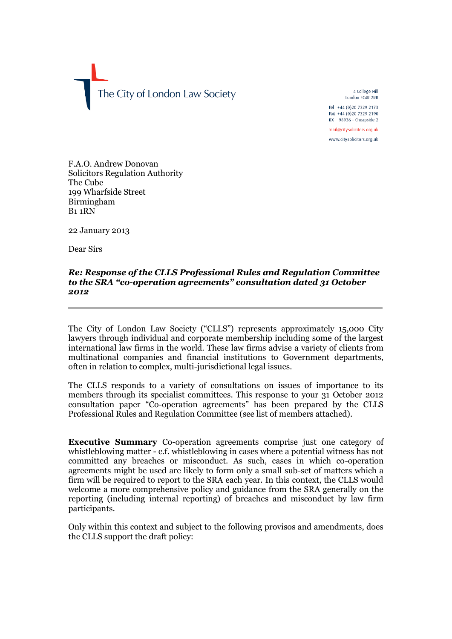The City of London Law Society

4 College Hill London EC4R 2RB

Tel +44 (0)20 7329 2173 Fax +44 (0)20 7329 2190 DX  $98936 -$  Cheapside 2

mail@citysolicitors.org.uk www.citysolicitors.org.uk

F.A.O. Andrew Donovan Solicitors Regulation Authority The Cube 199 Wharfside Street Birmingham B1 1RN

22 January 2013

Dear Sirs

#### *Re: Response of the CLLS Professional Rules and Regulation Committee to the SRA "co-operation agreements" consultation dated 31 October 2012*

The City of London Law Society ("CLLS") represents approximately 15,000 City lawyers through individual and corporate membership including some of the largest international law firms in the world. These law firms advise a variety of clients from multinational companies and financial institutions to Government departments, often in relation to complex, multi-jurisdictional legal issues.

The CLLS responds to a variety of consultations on issues of importance to its members through its specialist committees. This response to your 31 October 2012 consultation paper "Co-operation agreements" has been prepared by the CLLS Professional Rules and Regulation Committee (see list of members attached).

**Executive Summary** Co-operation agreements comprise just one category of whistleblowing matter - c.f. whistleblowing in cases where a potential witness has not committed any breaches or misconduct. As such, cases in which co-operation agreements might be used are likely to form only a small sub-set of matters which a firm will be required to report to the SRA each year. In this context, the CLLS would welcome a more comprehensive policy and guidance from the SRA generally on the reporting (including internal reporting) of breaches and misconduct by law firm participants.

Only within this context and subject to the following provisos and amendments, does the CLLS support the draft policy: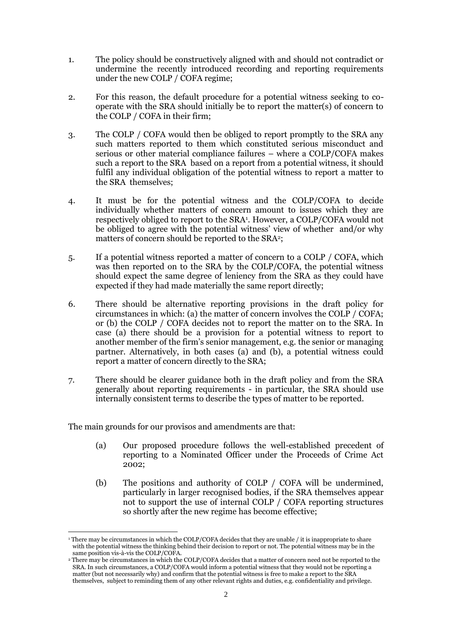- 1. The policy should be constructively aligned with and should not contradict or undermine the recently introduced recording and reporting requirements under the new COLP / COFA regime;
- 2. For this reason, the default procedure for a potential witness seeking to cooperate with the SRA should initially be to report the matter(s) of concern to the COLP / COFA in their firm;
- 3. The COLP / COFA would then be obliged to report promptly to the SRA any such matters reported to them which constituted serious misconduct and serious or other material compliance failures – where a COLP/COFA makes such a report to the SRA based on a report from a potential witness, it should fulfil any individual obligation of the potential witness to report a matter to the SRA themselves;
- 4. It must be for the potential witness and the COLP/COFA to decide individually whether matters of concern amount to issues which they are respectively obliged to report to the SRA<sup>1</sup>. However, a COLP/COFA would not be obliged to agree with the potential witness' view of whether and/or why matters of concern should be reported to the SRA<sup>2</sup>;
- 5. If a potential witness reported a matter of concern to a COLP / COFA, which was then reported on to the SRA by the COLP/COFA, the potential witness should expect the same degree of leniency from the SRA as they could have expected if they had made materially the same report directly;
- 6. There should be alternative reporting provisions in the draft policy for circumstances in which: (a) the matter of concern involves the COLP / COFA; or (b) the COLP / COFA decides not to report the matter on to the SRA. In case (a) there should be a provision for a potential witness to report to another member of the firm's senior management, e.g. the senior or managing partner. Alternatively, in both cases (a) and (b), a potential witness could report a matter of concern directly to the SRA;
- 7. There should be clearer guidance both in the draft policy and from the SRA generally about reporting requirements - in particular, the SRA should use internally consistent terms to describe the types of matter to be reported.

The main grounds for our provisos and amendments are that:

- (a) Our proposed procedure follows the well-established precedent of reporting to a Nominated Officer under the Proceeds of Crime Act 2002;
- (b) The positions and authority of COLP / COFA will be undermined, particularly in larger recognised bodies, if the SRA themselves appear not to support the use of internal COLP / COFA reporting structures so shortly after the new regime has become effective;

**<sup>.</sup>** <sup>1</sup>There may be circumstances in which the COLP/COFA decides that they are unable / it is inappropriate to share with the potential witness the thinking behind their decision to report or not. The potential witness may be in the same position vis-à-vis the COLP/COFA.

<sup>&</sup>lt;sup>2</sup> There may be circumstances in which the COLP/COFA decides that a matter of concern need not be reported to the SRA. In such circumstances, a COLP/COFA would inform a potential witness that they would not be reporting a matter (but not necessarily why) and confirm that the potential witness is free to make a report to the SRA themselves, subject to reminding them of any other relevant rights and duties, e.g. confidentiality and privilege.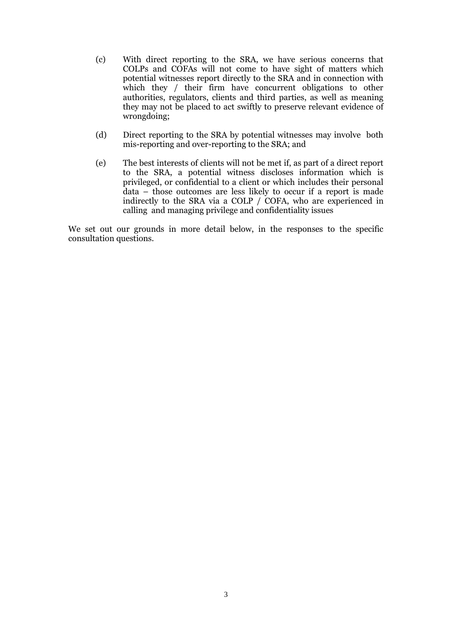- (c) With direct reporting to the SRA, we have serious concerns that COLPs and COFAs will not come to have sight of matters which potential witnesses report directly to the SRA and in connection with which they / their firm have concurrent obligations to other authorities, regulators, clients and third parties, as well as meaning they may not be placed to act swiftly to preserve relevant evidence of wrongdoing;
- (d) Direct reporting to the SRA by potential witnesses may involve both mis-reporting and over-reporting to the SRA; and
- (e) The best interests of clients will not be met if, as part of a direct report to the SRA, a potential witness discloses information which is privileged, or confidential to a client or which includes their personal data – those outcomes are less likely to occur if a report is made indirectly to the SRA via a COLP / COFA, who are experienced in calling and managing privilege and confidentiality issues

We set out our grounds in more detail below, in the responses to the specific consultation questions.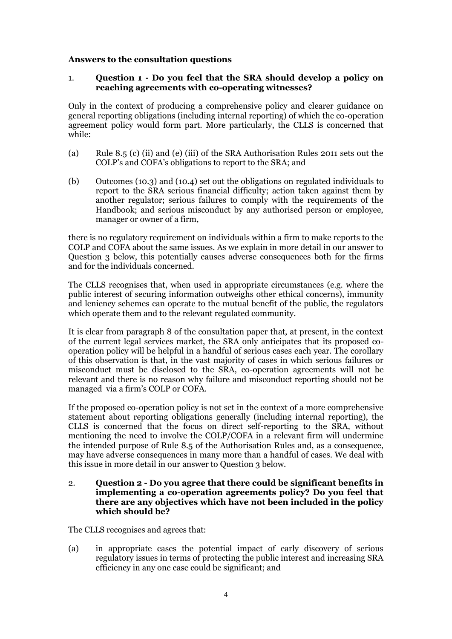## **Answers to the consultation questions**

## 1. **Question 1 - Do you feel that the SRA should develop a policy on reaching agreements with co-operating witnesses?**

Only in the context of producing a comprehensive policy and clearer guidance on general reporting obligations (including internal reporting) of which the co-operation agreement policy would form part. More particularly, the CLLS is concerned that while:

- (a) Rule 8.5 (c) (ii) and (e) (iii) of the SRA Authorisation Rules 2011 sets out the COLP's and COFA's obligations to report to the SRA; and
- (b) Outcomes (10.3) and (10.4) set out the obligations on regulated individuals to report to the SRA serious financial difficulty; action taken against them by another regulator; serious failures to comply with the requirements of the Handbook; and serious misconduct by any authorised person or employee, manager or owner of a firm,

there is no regulatory requirement on individuals within a firm to make reports to the COLP and COFA about the same issues. As we explain in more detail in our answer to Question 3 below, this potentially causes adverse consequences both for the firms and for the individuals concerned.

The CLLS recognises that, when used in appropriate circumstances (e.g. where the public interest of securing information outweighs other ethical concerns), immunity and leniency schemes can operate to the mutual benefit of the public, the regulators which operate them and to the relevant regulated community.

It is clear from paragraph 8 of the consultation paper that, at present, in the context of the current legal services market, the SRA only anticipates that its proposed cooperation policy will be helpful in a handful of serious cases each year. The corollary of this observation is that, in the vast majority of cases in which serious failures or misconduct must be disclosed to the SRA, co-operation agreements will not be relevant and there is no reason why failure and misconduct reporting should not be managed via a firm's COLP or COFA.

If the proposed co-operation policy is not set in the context of a more comprehensive statement about reporting obligations generally (including internal reporting), the CLLS is concerned that the focus on direct self-reporting to the SRA, without mentioning the need to involve the COLP/COFA in a relevant firm will undermine the intended purpose of Rule 8.5 of the Authorisation Rules and, as a consequence, may have adverse consequences in many more than a handful of cases. We deal with this issue in more detail in our answer to Question 3 below.

#### 2. **Question 2 - Do you agree that there could be significant benefits in implementing a co-operation agreements policy? Do you feel that there are any objectives which have not been included in the policy which should be?**

The CLLS recognises and agrees that:

(a) in appropriate cases the potential impact of early discovery of serious regulatory issues in terms of protecting the public interest and increasing SRA efficiency in any one case could be significant; and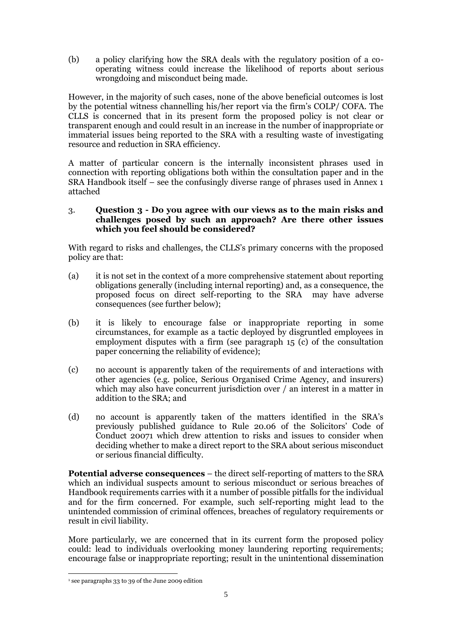(b) a policy clarifying how the SRA deals with the regulatory position of a cooperating witness could increase the likelihood of reports about serious wrongdoing and misconduct being made.

However, in the majority of such cases, none of the above beneficial outcomes is lost by the potential witness channelling his/her report via the firm's COLP/ COFA. The CLLS is concerned that in its present form the proposed policy is not clear or transparent enough and could result in an increase in the number of inappropriate or immaterial issues being reported to the SRA with a resulting waste of investigating resource and reduction in SRA efficiency.

A matter of particular concern is the internally inconsistent phrases used in connection with reporting obligations both within the consultation paper and in the SRA Handbook itself – see the confusingly diverse range of phrases used in Annex 1 attached

## 3. **Question 3 - Do you agree with our views as to the main risks and challenges posed by such an approach? Are there other issues which you feel should be considered?**

With regard to risks and challenges, the CLLS's primary concerns with the proposed policy are that:

- (a) it is not set in the context of a more comprehensive statement about reporting obligations generally (including internal reporting) and, as a consequence, the proposed focus on direct self-reporting to the SRA may have adverse consequences (see further below);
- (b) it is likely to encourage false or inappropriate reporting in some circumstances, for example as a tactic deployed by disgruntled employees in employment disputes with a firm (see paragraph 15 (c) of the consultation paper concerning the reliability of evidence);
- (c) no account is apparently taken of the requirements of and interactions with other agencies (e.g. police, Serious Organised Crime Agency, and insurers) which may also have concurrent jurisdiction over / an interest in a matter in addition to the SRA; and
- (d) no account is apparently taken of the matters identified in the SRA's previously published guidance to Rule 20.06 of the Solicitors' Code of Conduct 20071 which drew attention to risks and issues to consider when deciding whether to make a direct report to the SRA about serious misconduct or serious financial difficulty.

**Potential adverse consequences** – the direct self-reporting of matters to the SRA which an individual suspects amount to serious misconduct or serious breaches of Handbook requirements carries with it a number of possible pitfalls for the individual and for the firm concerned. For example, such self-reporting might lead to the unintended commission of criminal offences, breaches of regulatory requirements or result in civil liability.

More particularly, we are concerned that in its current form the proposed policy could: lead to individuals overlooking money laundering reporting requirements; encourage false or inappropriate reporting; result in the unintentional dissemination

 $\overline{a}$ 

<sup>1</sup> see paragraphs 33 to 39 of the June 2009 edition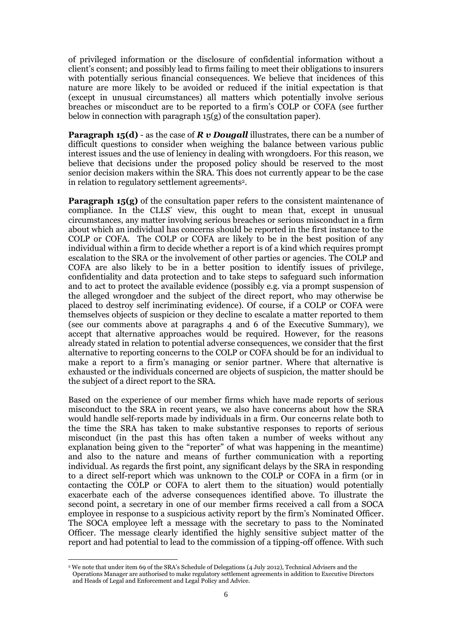of privileged information or the disclosure of confidential information without a client's consent; and possibly lead to firms failing to meet their obligations to insurers with potentially serious financial consequences. We believe that incidences of this nature are more likely to be avoided or reduced if the initial expectation is that (except in unusual circumstances) all matters which potentially involve serious breaches or misconduct are to be reported to a firm's COLP or COFA (see further below in connection with paragraph  $15(g)$  of the consultation paper).

**Paragraph 15(d)** - as the case of *R* **v Dougall** illustrates, there can be a number of difficult questions to consider when weighing the balance between various public interest issues and the use of leniency in dealing with wrongdoers. For this reason, we believe that decisions under the proposed policy should be reserved to the most senior decision makers within the SRA. This does not currently appear to be the case in relation to regulatory settlement agreements<sup>2</sup> .

**Paragraph 15(g)** of the consultation paper refers to the consistent maintenance of compliance. In the CLLS' view, this ought to mean that, except in unusual circumstances, any matter involving serious breaches or serious misconduct in a firm about which an individual has concerns should be reported in the first instance to the COLP or COFA. The COLP or COFA are likely to be in the best position of any individual within a firm to decide whether a report is of a kind which requires prompt escalation to the SRA or the involvement of other parties or agencies. The COLP and COFA are also likely to be in a better position to identify issues of privilege, confidentiality and data protection and to take steps to safeguard such information and to act to protect the available evidence (possibly e.g. via a prompt suspension of the alleged wrongdoer and the subject of the direct report, who may otherwise be placed to destroy self incriminating evidence). Of course, if a COLP or COFA were themselves objects of suspicion or they decline to escalate a matter reported to them (see our comments above at paragraphs 4 and 6 of the Executive Summary), we accept that alternative approaches would be required. However, for the reasons already stated in relation to potential adverse consequences, we consider that the first alternative to reporting concerns to the COLP or COFA should be for an individual to make a report to a firm's managing or senior partner. Where that alternative is exhausted or the individuals concerned are objects of suspicion, the matter should be the subject of a direct report to the SRA.

Based on the experience of our member firms which have made reports of serious misconduct to the SRA in recent years, we also have concerns about how the SRA would handle self-reports made by individuals in a firm. Our concerns relate both to the time the SRA has taken to make substantive responses to reports of serious misconduct (in the past this has often taken a number of weeks without any explanation being given to the "reporter" of what was happening in the meantime) and also to the nature and means of further communication with a reporting individual. As regards the first point, any significant delays by the SRA in responding to a direct self-report which was unknown to the COLP or COFA in a firm (or in contacting the COLP or COFA to alert them to the situation) would potentially exacerbate each of the adverse consequences identified above. To illustrate the second point, a secretary in one of our member firms received a call from a SOCA employee in response to a suspicious activity report by the firm's Nominated Officer. The SOCA employee left a message with the secretary to pass to the Nominated Officer. The message clearly identified the highly sensitive subject matter of the report and had potential to lead to the commission of a tipping-off offence. With such

**<sup>.</sup>** <sup>2</sup> We note that under item 69 of the SRA's Schedule of Delegations (4 July 2012), Technical Advisers and the

Operations Manager are authorised to make regulatory settlement agreements in addition to Executive Directors and Heads of Legal and Enforcement and Legal Policy and Advice.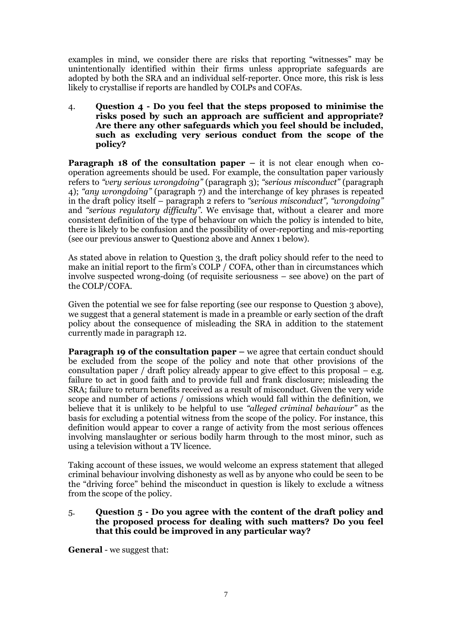examples in mind, we consider there are risks that reporting "witnesses" may be unintentionally identified within their firms unless appropriate safeguards are adopted by both the SRA and an individual self-reporter. Once more, this risk is less likely to crystallise if reports are handled by COLPs and COFAs.

4. **Question 4 - Do you feel that the steps proposed to minimise the risks posed by such an approach are sufficient and appropriate? Are there any other safeguards which you feel should be included, such as excluding very serious conduct from the scope of the policy?**

**Paragraph 18 of the consultation paper – it is not clear enough when co**operation agreements should be used. For example, the consultation paper variously refers to *"very serious wrongdoing"* (paragraph 3); *"serious misconduct"* (paragraph 4); *"any wrongdoing"* (paragraph 7) and the interchange of key phrases is repeated in the draft policy itself – paragraph 2 refers to *"serious misconduct", "wrongdoing"* and *"serious regulatory difficulty"*. We envisage that, without a clearer and more consistent definition of the type of behaviour on which the policy is intended to bite, there is likely to be confusion and the possibility of over-reporting and mis-reporting (see our previous answer to Question2 above and Annex 1 below).

As stated above in relation to Question 3, the draft policy should refer to the need to make an initial report to the firm's COLP / COFA, other than in circumstances which involve suspected wrong-doing (of requisite seriousness – see above) on the part of the COLP/COFA.

Given the potential we see for false reporting (see our response to Question 3 above), we suggest that a general statement is made in a preamble or early section of the draft policy about the consequence of misleading the SRA in addition to the statement currently made in paragraph 12.

**Paragraph 19 of the consultation paper –** we agree that certain conduct should be excluded from the scope of the policy and note that other provisions of the consultation paper / draft policy already appear to give effect to this proposal  $-e.g.$ failure to act in good faith and to provide full and frank disclosure; misleading the SRA; failure to return benefits received as a result of misconduct. Given the very wide scope and number of actions / omissions which would fall within the definition, we believe that it is unlikely to be helpful to use *"alleged criminal behaviour"* as the basis for excluding a potential witness from the scope of the policy. For instance, this definition would appear to cover a range of activity from the most serious offences involving manslaughter or serious bodily harm through to the most minor, such as using a television without a TV licence.

Taking account of these issues, we would welcome an express statement that alleged criminal behaviour involving dishonesty as well as by anyone who could be seen to be the "driving force" behind the misconduct in question is likely to exclude a witness from the scope of the policy.

## 5. **Question 5 - Do you agree with the content of the draft policy and the proposed process for dealing with such matters? Do you feel that this could be improved in any particular way?**

**General** - we suggest that: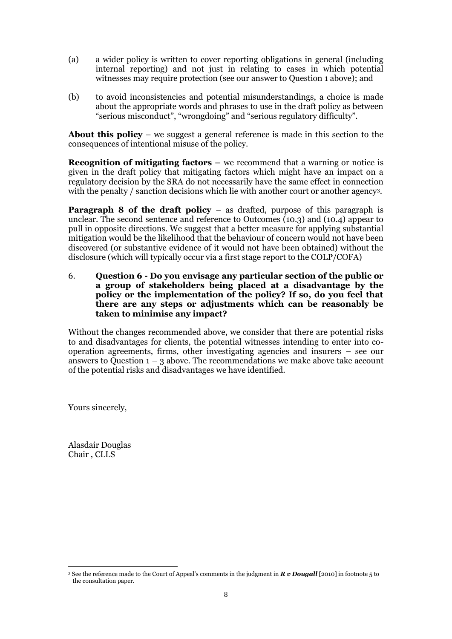- (a) a wider policy is written to cover reporting obligations in general (including internal reporting) and not just in relating to cases in which potential witnesses may require protection (see our answer to Question 1 above); and
- (b) to avoid inconsistencies and potential misunderstandings, a choice is made about the appropriate words and phrases to use in the draft policy as between "serious misconduct", "wrongdoing" and "serious regulatory difficulty".

**About this policy** – we suggest a general reference is made in this section to the consequences of intentional misuse of the policy.

**Recognition of mitigating factors –** we recommend that a warning or notice is given in the draft policy that mitigating factors which might have an impact on a regulatory decision by the SRA do not necessarily have the same effect in connection with the penalty / sanction decisions which lie with another court or another agency<sup>3</sup>.

**Paragraph 8 of the draft policy** – as drafted, purpose of this paragraph is unclear. The second sentence and reference to Outcomes (10.3) and (10.4) appear to pull in opposite directions. We suggest that a better measure for applying substantial mitigation would be the likelihood that the behaviour of concern would not have been discovered (or substantive evidence of it would not have been obtained) without the disclosure (which will typically occur via a first stage report to the COLP/COFA)

6. **Question 6 - Do you envisage any particular section of the public or a group of stakeholders being placed at a disadvantage by the policy or the implementation of the policy? If so, do you feel that there are any steps or adjustments which can be reasonably be taken to minimise any impact?**

Without the changes recommended above, we consider that there are potential risks to and disadvantages for clients, the potential witnesses intending to enter into cooperation agreements, firms, other investigating agencies and insurers – see our answers to Question  $1 - 3$  above. The recommendations we make above take account of the potential risks and disadvantages we have identified.

Yours sincerely,

Alasdair Douglas Chair , CLLS

**<sup>.</sup>** <sup>3</sup> See the reference made to the Court of Appeal's comments in the judgment in *R v Dougall* [2010] in footnote 5 to the consultation paper.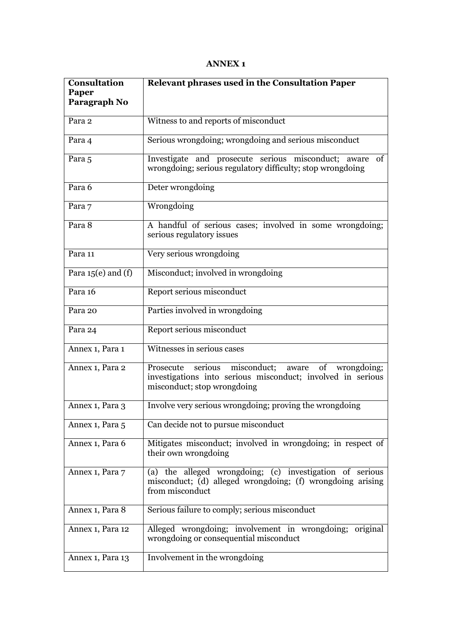# **ANNEX 1**

| <b>Consultation</b><br>Paper<br>Paragraph No | Relevant phrases used in the Consultation Paper                                                                                                        |
|----------------------------------------------|--------------------------------------------------------------------------------------------------------------------------------------------------------|
| Para 2                                       | Witness to and reports of misconduct                                                                                                                   |
| Para 4                                       | Serious wrongdoing; wrongdoing and serious misconduct                                                                                                  |
| Para 5                                       | Investigate and prosecute serious misconduct; aware<br>of<br>wrongdoing; serious regulatory difficulty; stop wrongdoing                                |
| Para 6                                       | Deter wrongdoing                                                                                                                                       |
| Para 7                                       | Wrongdoing                                                                                                                                             |
| Para 8                                       | A handful of serious cases; involved in some wrongdoing;<br>serious regulatory issues                                                                  |
| Para 11                                      | Very serious wrongdoing                                                                                                                                |
| Para $15(e)$ and $(f)$                       | Misconduct; involved in wrongdoing                                                                                                                     |
| Para 16                                      | Report serious misconduct                                                                                                                              |
| Para 20                                      | Parties involved in wrongdoing                                                                                                                         |
| Para 24                                      | Report serious misconduct                                                                                                                              |
| Annex 1, Para 1                              | Witnesses in serious cases                                                                                                                             |
| Annex 1, Para 2                              | misconduct; aware of wrongdoing;<br>serious<br>Prosecute<br>investigations into serious misconduct; involved in serious<br>misconduct; stop wrongdoing |
| Annex 1, Para 3                              | Involve very serious wrongdoing; proving the wrongdoing                                                                                                |
| Annex 1, Para 5                              | Can decide not to pursue misconduct                                                                                                                    |
| Annex 1, Para 6                              | Mitigates misconduct; involved in wrongdoing; in respect of<br>their own wrongdoing                                                                    |
| Annex 1, Para 7                              | (a) the alleged wrongdoing; (c) investigation of serious<br>misconduct; (d) alleged wrongdoing; (f) wrongdoing arising<br>from misconduct              |
| Annex 1, Para 8                              | Serious failure to comply; serious misconduct                                                                                                          |
| Annex 1, Para 12                             | Alleged wrongdoing; involvement in wrongdoing; original<br>wrongdoing or consequential misconduct                                                      |
| Annex 1, Para 13                             | Involvement in the wrongdoing                                                                                                                          |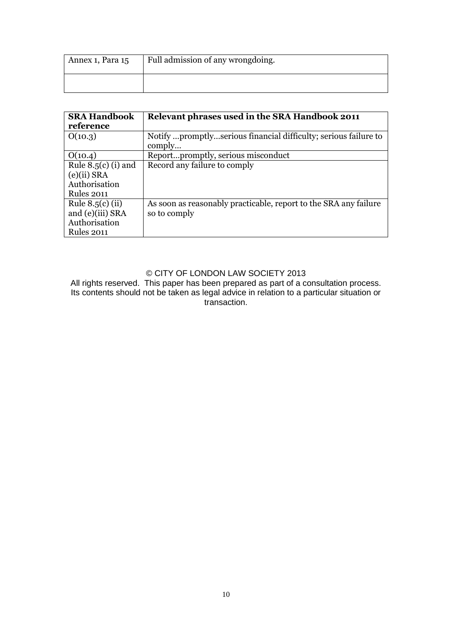| Annex 1, Para 15 | Full admission of any wrongdoing. |
|------------------|-----------------------------------|
|                  |                                   |

| <b>SRA Handbook</b>   | Relevant phrases used in the SRA Handbook 2011                   |
|-----------------------|------------------------------------------------------------------|
| reference             |                                                                  |
| O(10.3)               | Notify promptlyserious financial difficulty; serious failure to  |
|                       | comply                                                           |
| O(10.4)               | Reportpromptly, serious misconduct                               |
| Rule $8.5(c)$ (i) and | Record any failure to comply                                     |
| $(e)(ii)$ SRA         |                                                                  |
| Authorisation         |                                                                  |
| <b>Rules 2011</b>     |                                                                  |
| Rule $8.5(c)$ (ii)    | As soon as reasonably practicable, report to the SRA any failure |
| and (e)(iii) SRA      | so to comply                                                     |
| Authorisation         |                                                                  |
| <b>Rules 2011</b>     |                                                                  |

# © CITY OF LONDON LAW SOCIETY 2013

All rights reserved. This paper has been prepared as part of a consultation process. Its contents should not be taken as legal advice in relation to a particular situation or transaction.